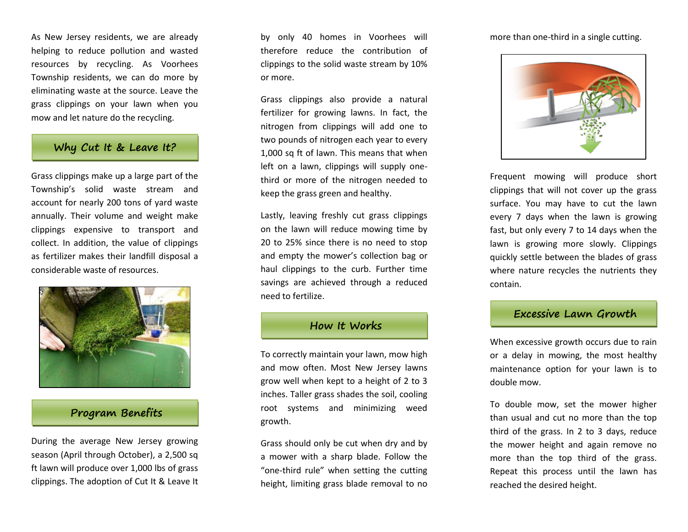As New Jersey residents, we are already helping to reduce pollution and wasted resources by recycling. As Voorhees Township residents, we can do more by eliminating waste at the source. Leave the grass clippings on your lawn when you mow and let nature do the recycling.

### **Why Cut It & Leave It?**

Grass clippings make up a large part of the Township's solid waste stream and account for nearly 200 tons of yard waste annually. Their volume and weight make clippings expensive to transport and collect. In addition, the value of clippings as fertilizer makes their landfill disposal a considerable waste of resources.



## **Program Benefits**

During the average New Jersey growing season (April through October), a 2,500 sq ft lawn will produce over 1,000 lbs of grass clippings. The adoption of Cut It & Leave It

by only 40 homes in Voorhees will therefore reduce the contribution of clippings to the solid waste stream by 10% or more.

Grass clippings also provide a natural fertilizer for growing lawns. In fact, the nitrogen from clippings will add one to two pounds of nitrogen each year to every 1,000 sq ft of lawn. This means that when left on a lawn, clippings will supply onethird or more of the nitrogen needed to keep the grass green and healthy.

Lastly, leaving freshly cut grass clippings on the lawn will reduce mowing time by 20 to 25% since there is no need to stop and empty the mower's collection bag or haul clippings to the curb. Further time savings are achieved through a reduced need to fertilize.



To correctly maintain your lawn, mow high and mow often. Most New Jersey lawns grow well when kept to a height of 2 to 3 inches. Taller grass shades the soil, cooling root systems and minimizing weed growth.

Grass should only be cut when dry and by a mower with a sharp blade. Follow the "one-third rule" when setting the cutting height, limiting grass blade removal to no

more than one-third in a single cutting.



Frequent mowing will produce short clippings that will not cover up the grass surface. You may have to cut the lawn every 7 days when the lawn is growing fast, but only every 7 to 14 days when the lawn is growing more slowly. Clippings quickly settle between the blades of grass where nature recycles the nutrients they contain.

#### **Excessive Lawn Growth**

When excessive growth occurs due to rain or a delay in mowing, the most healthy maintenance option for your lawn is to double mow.

To double mow, set the mower higher than usual and cut no more than the top third of the grass. In 2 to 3 days, reduce the mower height and again remove no more than the top third of the grass. Repeat this process until the lawn has reached the desired height.